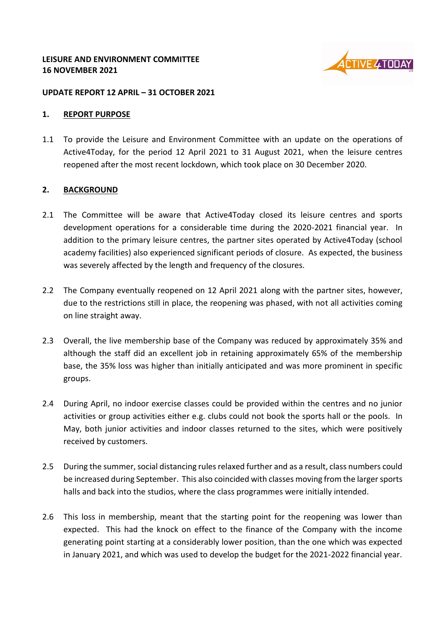

#### **UPDATE REPORT 12 APRIL – 31 OCTOBER 2021**

#### **1. REPORT PURPOSE**

1.1 To provide the Leisure and Environment Committee with an update on the operations of Active4Today, for the period 12 April 2021 to 31 August 2021, when the leisure centres reopened after the most recent lockdown, which took place on 30 December 2020.

## **2. BACKGROUND**

- 2.1 The Committee will be aware that Active4Today closed its leisure centres and sports development operations for a considerable time during the 2020-2021 financial year. In addition to the primary leisure centres, the partner sites operated by Active4Today (school academy facilities) also experienced significant periods of closure. As expected, the business was severely affected by the length and frequency of the closures.
- 2.2 The Company eventually reopened on 12 April 2021 along with the partner sites, however, due to the restrictions still in place, the reopening was phased, with not all activities coming on line straight away.
- 2.3 Overall, the live membership base of the Company was reduced by approximately 35% and although the staff did an excellent job in retaining approximately 65% of the membership base, the 35% loss was higher than initially anticipated and was more prominent in specific groups.
- 2.4 During April, no indoor exercise classes could be provided within the centres and no junior activities or group activities either e.g. clubs could not book the sports hall or the pools. In May, both junior activities and indoor classes returned to the sites, which were positively received by customers.
- 2.5 During the summer, social distancing rules relaxed further and as a result, class numbers could be increased during September. This also coincided with classes moving from the larger sports halls and back into the studios, where the class programmes were initially intended.
- 2.6 This loss in membership, meant that the starting point for the reopening was lower than expected. This had the knock on effect to the finance of the Company with the income generating point starting at a considerably lower position, than the one which was expected in January 2021, and which was used to develop the budget for the 2021-2022 financial year.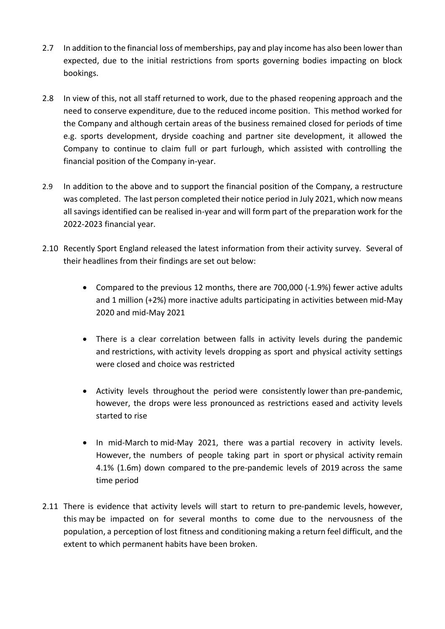- 2.7 In addition to the financial loss of memberships, pay and play income has also been lower than expected, due to the initial restrictions from sports governing bodies impacting on block bookings.
- 2.8 In view of this, not all staff returned to work, due to the phased reopening approach and the need to conserve expenditure, due to the reduced income position. This method worked for the Company and although certain areas of the business remained closed for periods of time e.g. sports development, dryside coaching and partner site development, it allowed the Company to continue to claim full or part furlough, which assisted with controlling the financial position of the Company in-year.
- 2.9 In addition to the above and to support the financial position of the Company, a restructure was completed. The last person completed their notice period in July 2021, which now means all savings identified can be realised in-year and will form part of the preparation work for the 2022-2023 financial year.
- 2.10 Recently Sport England released the latest information from their activity survey. Several of their headlines from their findings are set out below:
	- Compared to the previous 12 months, there are 700,000 (-1.9%) fewer active adults and 1 million (+2%) more inactive adults participating in activities between mid-May 2020 and mid-May 2021
	- There is a clear correlation between falls in activity levels during the pandemic and restrictions, with activity levels dropping as sport and physical activity settings were closed and choice was restricted
	- Activity levels throughout the period were consistently lower than pre-pandemic, however, the drops were less pronounced as restrictions eased and activity levels started to rise
	- In mid-March to mid-May 2021, there was a partial recovery in activity levels. However, the numbers of people taking part in sport or physical activity remain 4.1% (1.6m) down compared to the pre-pandemic levels of 2019 across the same time period
- 2.11 There is evidence that activity levels will start to return to pre-pandemic levels, however, this may be impacted on for several months to come due to the nervousness of the population, a perception of lost fitness and conditioning making a return feel difficult, and the extent to which permanent habits have been broken.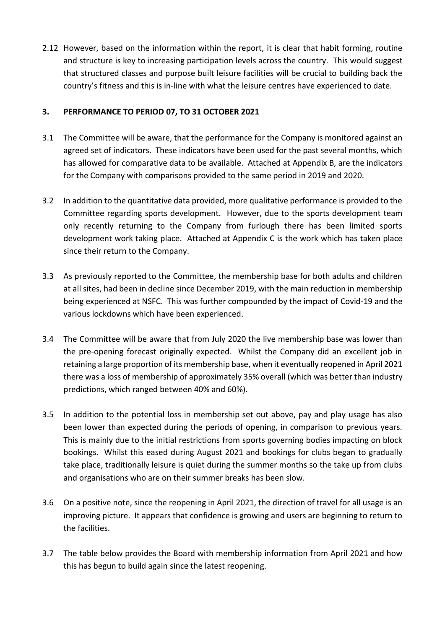2.12 However, based on the information within the report, it is clear that habit forming, routine and structure is key to increasing participation levels across the country. This would suggest that structured classes and purpose built leisure facilities will be crucial to building back the country's fitness and this is in-line with what the leisure centres have experienced to date.

## **3. PERFORMANCE TO PERIOD 07, TO 31 OCTOBER 2021**

- 3.1 The Committee will be aware, that the performance for the Company is monitored against an agreed set of indicators. These indicators have been used for the past several months, which has allowed for comparative data to be available. Attached at Appendix B, are the indicators for the Company with comparisons provided to the same period in 2019 and 2020.
- 3.2 In addition to the quantitative data provided, more qualitative performance is provided to the Committee regarding sports development. However, due to the sports development team only recently returning to the Company from furlough there has been limited sports development work taking place. Attached at Appendix C is the work which has taken place since their return to the Company.
- 3.3 As previously reported to the Committee, the membership base for both adults and children at all sites, had been in decline since December 2019, with the main reduction in membership being experienced at NSFC. This was further compounded by the impact of Covid-19 and the various lockdowns which have been experienced.
- 3.4 The Committee will be aware that from July 2020 the live membership base was lower than the pre-opening forecast originally expected. Whilst the Company did an excellent job in retaining a large proportion of its membership base, when it eventually reopened in April 2021 there was a loss of membership of approximately 35% overall (which was better than industry predictions, which ranged between 40% and 60%).
- 3.5 In addition to the potential loss in membership set out above, pay and play usage has also been lower than expected during the periods of opening, in comparison to previous years. This is mainly due to the initial restrictions from sports governing bodies impacting on block bookings. Whilst this eased during August 2021 and bookings for clubs began to gradually take place, traditionally leisure is quiet during the summer months so the take up from clubs and organisations who are on their summer breaks has been slow.
- 3.6 On a positive note, since the reopening in April 2021, the direction of travel for all usage is an improving picture. It appears that confidence is growing and users are beginning to return to the facilities.
- 3.7 The table below provides the Board with membership information from April 2021 and how this has begun to build again since the latest reopening.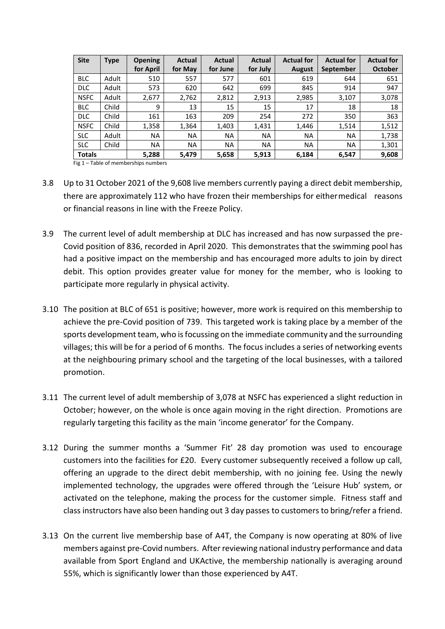| <b>Site</b>   | Type  | <b>Opening</b> | Actual    | <b>Actual</b> | Actual    | <b>Actual for</b> | <b>Actual for</b> | <b>Actual for</b> |
|---------------|-------|----------------|-----------|---------------|-----------|-------------------|-------------------|-------------------|
|               |       | for April      | for May   | for June      | for July  | <b>August</b>     | <b>September</b>  | <b>October</b>    |
| <b>BLC</b>    | Adult | 510            | 557       | 577           | 601       | 619               | 644               | 651               |
| <b>DLC</b>    | Adult | 573            | 620       | 642           | 699       | 845               | 914               | 947               |
| <b>NSFC</b>   | Adult | 2,677          | 2,762     | 2,812         | 2,913     | 2,985             | 3,107             | 3,078             |
| <b>BLC</b>    | Child | 9              | 13        | 15            | 15        | 17                | 18                | 18                |
| <b>DLC</b>    | Child | 161            | 163       | 209           | 254       | 272               | 350               | 363               |
| <b>NSFC</b>   | Child | 1,358          | 1,364     | 1,403         | 1,431     | 1,446             | 1,514             | 1,512             |
| <b>SLC</b>    | Adult | <b>NA</b>      | <b>NA</b> | <b>NA</b>     | <b>NA</b> | <b>NA</b>         | <b>NA</b>         | 1,738             |
| <b>SLC</b>    | Child | <b>NA</b>      | <b>NA</b> | <b>NA</b>     | <b>NA</b> | <b>NA</b>         | <b>NA</b>         | 1,301             |
| <b>Totals</b> |       | 5,288          | 5,479     | 5,658         | 5,913     | 6,184             | 6,547             | 9,608             |

Fig <sup>1</sup> – Table of memberships numbers

- 3.8 Up to 31 October 2021 of the 9,608 live members currently paying a direct debit membership, there are approximately 112 who have frozen their memberships for eithermedical reasons or financial reasons in line with the Freeze Policy.
- 3.9 The current level of adult membership at DLC has increased and has now surpassed the pre-Covid position of 836, recorded in April 2020. This demonstrates that the swimming pool has had a positive impact on the membership and has encouraged more adults to join by direct debit. This option provides greater value for money for the member, who is looking to participate more regularly in physical activity.
- 3.10 The position at BLC of 651 is positive; however, more work is required on this membership to achieve the pre-Covid position of 739. This targeted work is taking place by a member of the sports development team, who is focussing on the immediate community and the surrounding villages; this will be for a period of 6 months. The focus includes a series of networking events at the neighbouring primary school and the targeting of the local businesses, with a tailored promotion.
- 3.11 The current level of adult membership of 3,078 at NSFC has experienced a slight reduction in October; however, on the whole is once again moving in the right direction. Promotions are regularly targeting this facility as the main 'income generator' for the Company.
- 3.12 During the summer months a 'Summer Fit' 28 day promotion was used to encourage customers into the facilities for £20. Every customer subsequently received a follow up call, offering an upgrade to the direct debit membership, with no joining fee. Using the newly implemented technology, the upgrades were offered through the 'Leisure Hub' system, or activated on the telephone, making the process for the customer simple. Fitness staff and class instructors have also been handing out 3 day passes to customers to bring/refer a friend.
- 3.13 On the current live membership base of A4T, the Company is now operating at 80% of live members against pre-Covid numbers. After reviewing national industry performance and data available from Sport England and UKActive, the membership nationally is averaging around 55%, which is significantly lower than those experienced by A4T.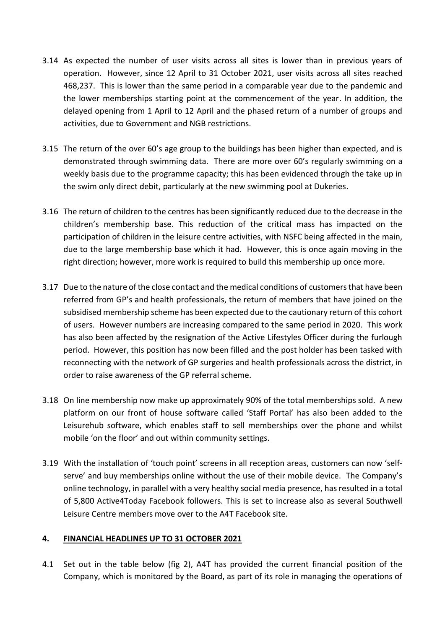- 3.14 As expected the number of user visits across all sites is lower than in previous years of operation. However, since 12 April to 31 October 2021, user visits across all sites reached 468,237. This is lower than the same period in a comparable year due to the pandemic and the lower memberships starting point at the commencement of the year. In addition, the delayed opening from 1 April to 12 April and the phased return of a number of groups and activities, due to Government and NGB restrictions.
- 3.15 The return of the over 60's age group to the buildings has been higher than expected, and is demonstrated through swimming data. There are more over 60's regularly swimming on a weekly basis due to the programme capacity; this has been evidenced through the take up in the swim only direct debit, particularly at the new swimming pool at Dukeries.
- 3.16 The return of children to the centres has been significantly reduced due to the decrease in the children's membership base. This reduction of the critical mass has impacted on the participation of children in the leisure centre activities, with NSFC being affected in the main, due to the large membership base which it had. However, this is once again moving in the right direction; however, more work is required to build this membership up once more.
- 3.17 Due to the nature of the close contact and the medical conditions of customers that have been referred from GP's and health professionals, the return of members that have joined on the subsidised membership scheme has been expected due to the cautionary return of this cohort of users. However numbers are increasing compared to the same period in 2020. This work has also been affected by the resignation of the Active Lifestyles Officer during the furlough period. However, this position has now been filled and the post holder has been tasked with reconnecting with the network of GP surgeries and health professionals across the district, in order to raise awareness of the GP referral scheme.
- 3.18 On line membership now make up approximately 90% of the total memberships sold. A new platform on our front of house software called 'Staff Portal' has also been added to the Leisurehub software, which enables staff to sell memberships over the phone and whilst mobile 'on the floor' and out within community settings.
- 3.19 With the installation of 'touch point' screens in all reception areas, customers can now 'selfserve' and buy memberships online without the use of their mobile device. The Company's online technology, in parallel with a very healthy social media presence, has resulted in a total of 5,800 Active4Today Facebook followers. This is set to increase also as several Southwell Leisure Centre members move over to the A4T Facebook site.

## **4. FINANCIAL HEADLINES UP TO 31 OCTOBER 2021**

4.1 Set out in the table below (fig 2), A4T has provided the current financial position of the Company, which is monitored by the Board, as part of its role in managing the operations of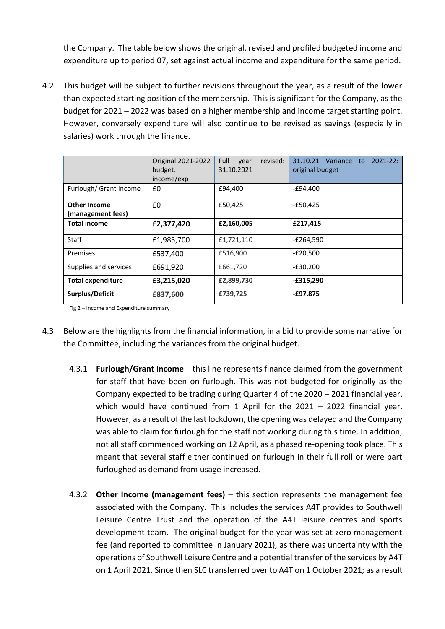the Company. The table below shows the original, revised and profiled budgeted income and expenditure up to period 07, set against actual income and expenditure for the same period.

4.2 This budget will be subject to further revisions throughout the year, as a result of the lower than expected starting position of the membership. This is significant for the Company, as the budget for 2021 – 2022 was based on a higher membership and income target starting point. However, conversely expenditure will also continue to be revised as savings (especially in salaries) work through the finance.

|                                          | Original 2021-2022<br>budget:<br>income/exp | Full<br>revised:<br>vear<br>31.10.2021 | 31.10.21 Variance to<br>$2021 - 22:$<br>original budget |
|------------------------------------------|---------------------------------------------|----------------------------------------|---------------------------------------------------------|
| Furlough/ Grant Income                   | £0                                          | £94,400                                | $-£94,400$                                              |
| <b>Other Income</b><br>(management fees) | £0                                          | £50,425                                | $-£50,425$                                              |
| <b>Total income</b>                      | £2,377,420                                  | £2,160,005                             | £217,415                                                |
| <b>Staff</b>                             | £1,985,700                                  | £1,721,110                             | $-E264,590$                                             |
| Premises                                 | £537,400                                    | £516,900                               | $-E20,500$                                              |
| Supplies and services                    | £691,920                                    | £661,720                               | $-E30,200$                                              |
| <b>Total expenditure</b>                 | £3,215,020                                  | £2,899,730                             | $-£315,290$                                             |
| Surplus/Deficit                          | £837,600                                    | £739,725                               | $-£97,875$                                              |

Fig 2 – Income and Expenditure summary

- 4.3 Below are the highlights from the financial information, in a bid to provide some narrative for the Committee, including the variances from the original budget.
	- 4.3.1 **Furlough/Grant Income** this line represents finance claimed from the government for staff that have been on furlough. This was not budgeted for originally as the Company expected to be trading during Quarter 4 of the 2020 – 2021 financial year, which would have continued from 1 April for the 2021 - 2022 financial year. However, as a result of the last lockdown, the opening was delayed and the Company was able to claim for furlough for the staff not working during this time. In addition, not all staff commenced working on 12 April, as a phased re-opening took place. This meant that several staff either continued on furlough in their full roll or were part furloughed as demand from usage increased.
	- 4.3.2 **Other Income (management fees)** this section represents the management fee associated with the Company. This includes the services A4T provides to Southwell Leisure Centre Trust and the operation of the A4T leisure centres and sports development team. The original budget for the year was set at zero management fee (and reported to committee in January 2021), as there was uncertainty with the operations of Southwell Leisure Centre and a potential transfer of the services by A4T on 1 April 2021. Since then SLC transferred over to A4T on 1 October 2021; as a result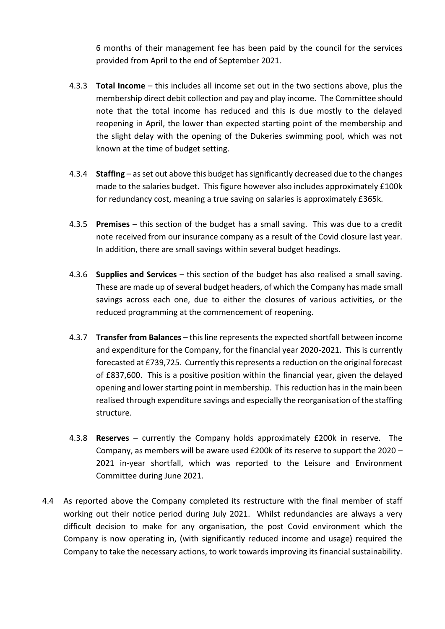6 months of their management fee has been paid by the council for the services provided from April to the end of September 2021.

- 4.3.3 **Total Income** this includes all income set out in the two sections above, plus the membership direct debit collection and pay and play income. The Committee should note that the total income has reduced and this is due mostly to the delayed reopening in April, the lower than expected starting point of the membership and the slight delay with the opening of the Dukeries swimming pool, which was not known at the time of budget setting.
- 4.3.4 **Staffing**  as set out above this budget has significantly decreased due to the changes made to the salaries budget. This figure however also includes approximately £100k for redundancy cost, meaning a true saving on salaries is approximately £365k.
- 4.3.5 **Premises**  this section of the budget has a small saving. This was due to a credit note received from our insurance company as a result of the Covid closure last year. In addition, there are small savings within several budget headings.
- 4.3.6 **Supplies and Services** this section of the budget has also realised a small saving. These are made up of several budget headers, of which the Company has made small savings across each one, due to either the closures of various activities, or the reduced programming at the commencement of reopening.
- 4.3.7 **Transfer from Balances** this line represents the expected shortfall between income and expenditure for the Company, for the financial year 2020-2021. This is currently forecasted at £739,725. Currently this represents a reduction on the original forecast of £837,600. This is a positive position within the financial year, given the delayed opening and lower starting point in membership. This reduction has in the main been realised through expenditure savings and especially the reorganisation of the staffing structure.
- 4.3.8 **Reserves** currently the Company holds approximately £200k in reserve. The Company, as members will be aware used £200k of its reserve to support the 2020 – 2021 in-year shortfall, which was reported to the Leisure and Environment Committee during June 2021.
- 4.4 As reported above the Company completed its restructure with the final member of staff working out their notice period during July 2021. Whilst redundancies are always a very difficult decision to make for any organisation, the post Covid environment which the Company is now operating in, (with significantly reduced income and usage) required the Company to take the necessary actions, to work towards improving its financial sustainability.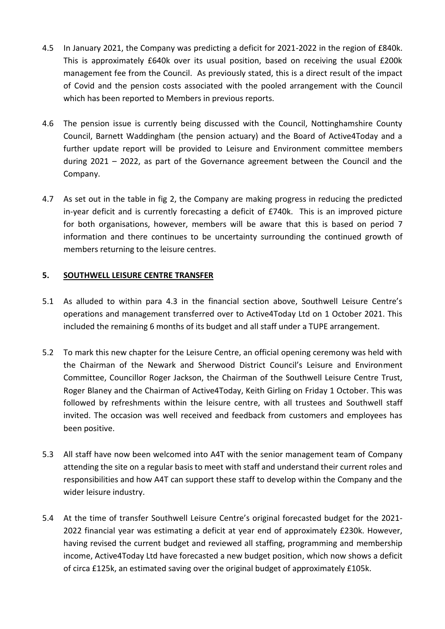- 4.5 In January 2021, the Company was predicting a deficit for 2021-2022 in the region of £840k. This is approximately £640k over its usual position, based on receiving the usual £200k management fee from the Council. As previously stated, this is a direct result of the impact of Covid and the pension costs associated with the pooled arrangement with the Council which has been reported to Members in previous reports.
- 4.6 The pension issue is currently being discussed with the Council, Nottinghamshire County Council, Barnett Waddingham (the pension actuary) and the Board of Active4Today and a further update report will be provided to Leisure and Environment committee members during 2021 – 2022, as part of the Governance agreement between the Council and the Company.
- 4.7 As set out in the table in fig 2, the Company are making progress in reducing the predicted in-year deficit and is currently forecasting a deficit of £740k. This is an improved picture for both organisations, however, members will be aware that this is based on period 7 information and there continues to be uncertainty surrounding the continued growth of members returning to the leisure centres.

## **5. SOUTHWELL LEISURE CENTRE TRANSFER**

- 5.1 As alluded to within para 4.3 in the financial section above, Southwell Leisure Centre's operations and management transferred over to Active4Today Ltd on 1 October 2021. This included the remaining 6 months of its budget and all staff under a TUPE arrangement.
- 5.2 To mark this new chapter for the Leisure Centre, an official opening ceremony was held with the Chairman of the Newark and Sherwood District Council's Leisure and Environment Committee, Councillor Roger Jackson, the Chairman of the Southwell Leisure Centre Trust, Roger Blaney and the Chairman of Active4Today, Keith Girling on Friday 1 October. This was followed by refreshments within the leisure centre, with all trustees and Southwell staff invited. The occasion was well received and feedback from customers and employees has been positive.
- 5.3 All staff have now been welcomed into A4T with the senior management team of Company attending the site on a regular basis to meet with staff and understand their current roles and responsibilities and how A4T can support these staff to develop within the Company and the wider leisure industry.
- 5.4 At the time of transfer Southwell Leisure Centre's original forecasted budget for the 2021- 2022 financial year was estimating a deficit at year end of approximately £230k. However, having revised the current budget and reviewed all staffing, programming and membership income, Active4Today Ltd have forecasted a new budget position, which now shows a deficit of circa £125k, an estimated saving over the original budget of approximately £105k.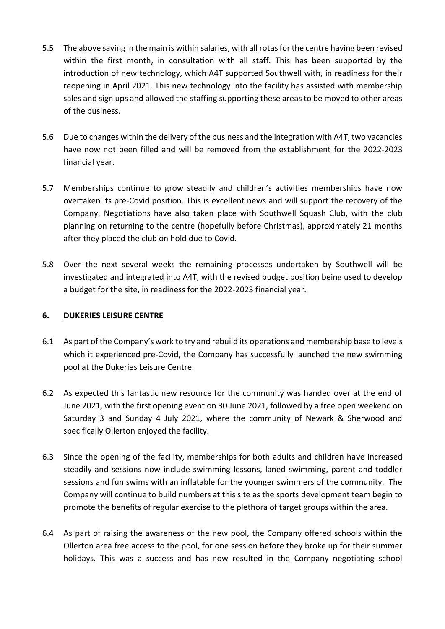- 5.5 The above saving in the main is within salaries, with all rotas for the centre having been revised within the first month, in consultation with all staff. This has been supported by the introduction of new technology, which A4T supported Southwell with, in readiness for their reopening in April 2021. This new technology into the facility has assisted with membership sales and sign ups and allowed the staffing supporting these areas to be moved to other areas of the business.
- 5.6 Due to changes within the delivery of the business and the integration with A4T, two vacancies have now not been filled and will be removed from the establishment for the 2022-2023 financial year.
- 5.7 Memberships continue to grow steadily and children's activities memberships have now overtaken its pre-Covid position. This is excellent news and will support the recovery of the Company. Negotiations have also taken place with Southwell Squash Club, with the club planning on returning to the centre (hopefully before Christmas), approximately 21 months after they placed the club on hold due to Covid.
- 5.8 Over the next several weeks the remaining processes undertaken by Southwell will be investigated and integrated into A4T, with the revised budget position being used to develop a budget for the site, in readiness for the 2022-2023 financial year.

## **6. DUKERIES LEISURE CENTRE**

- 6.1 As part of the Company's work to try and rebuild its operations and membership base to levels which it experienced pre-Covid, the Company has successfully launched the new swimming pool at the Dukeries Leisure Centre.
- 6.2 As expected this fantastic new resource for the community was handed over at the end of June 2021, with the first opening event on 30 June 2021, followed by a free open weekend on Saturday 3 and Sunday 4 July 2021, where the community of Newark & Sherwood and specifically Ollerton enjoyed the facility.
- 6.3 Since the opening of the facility, memberships for both adults and children have increased steadily and sessions now include swimming lessons, laned swimming, parent and toddler sessions and fun swims with an inflatable for the younger swimmers of the community. The Company will continue to build numbers at this site as the sports development team begin to promote the benefits of regular exercise to the plethora of target groups within the area.
- 6.4 As part of raising the awareness of the new pool, the Company offered schools within the Ollerton area free access to the pool, for one session before they broke up for their summer holidays. This was a success and has now resulted in the Company negotiating school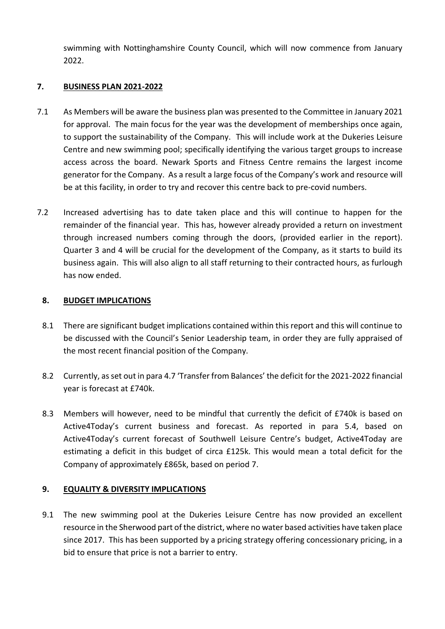swimming with Nottinghamshire County Council, which will now commence from January 2022.

## **7. BUSINESS PLAN 2021-2022**

- 7.1 As Members will be aware the business plan was presented to the Committee in January 2021 for approval. The main focus for the year was the development of memberships once again, to support the sustainability of the Company. This will include work at the Dukeries Leisure Centre and new swimming pool; specifically identifying the various target groups to increase access across the board. Newark Sports and Fitness Centre remains the largest income generator for the Company. As a result a large focus of the Company's work and resource will be at this facility, in order to try and recover this centre back to pre-covid numbers.
- 7.2 Increased advertising has to date taken place and this will continue to happen for the remainder of the financial year. This has, however already provided a return on investment through increased numbers coming through the doors, (provided earlier in the report). Quarter 3 and 4 will be crucial for the development of the Company, as it starts to build its business again. This will also align to all staff returning to their contracted hours, as furlough has now ended.

## **8. BUDGET IMPLICATIONS**

- 8.1 There are significant budget implications contained within this report and this will continue to be discussed with the Council's Senior Leadership team, in order they are fully appraised of the most recent financial position of the Company.
- 8.2 Currently, as set out in para 4.7 'Transfer from Balances' the deficit for the 2021-2022 financial year is forecast at £740k.
- 8.3 Members will however, need to be mindful that currently the deficit of £740k is based on Active4Today's current business and forecast. As reported in para 5.4, based on Active4Today's current forecast of Southwell Leisure Centre's budget, Active4Today are estimating a deficit in this budget of circa £125k. This would mean a total deficit for the Company of approximately £865k, based on period 7.

# **9. EQUALITY & DIVERSITY IMPLICATIONS**

9.1 The new swimming pool at the Dukeries Leisure Centre has now provided an excellent resource in the Sherwood part of the district, where no water based activities have taken place since 2017. This has been supported by a pricing strategy offering concessionary pricing, in a bid to ensure that price is not a barrier to entry.